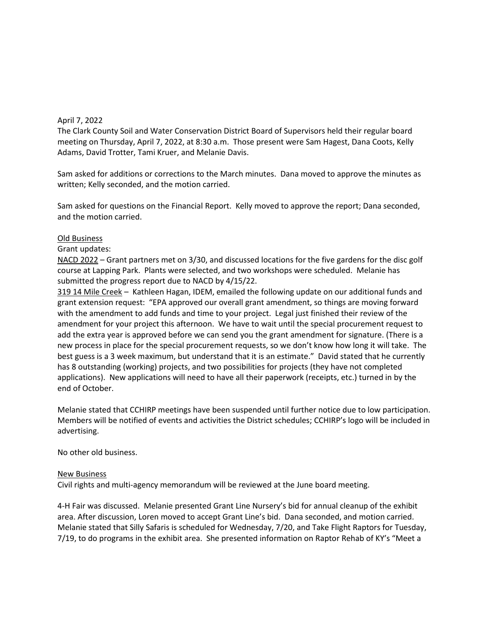# April 7, 2022

The Clark County Soil and Water Conservation District Board of Supervisors held their regular board meeting on Thursday, April 7, 2022, at 8:30 a.m. Those present were Sam Hagest, Dana Coots, Kelly Adams, David Trotter, Tami Kruer, and Melanie Davis.

Sam asked for additions or corrections to the March minutes. Dana moved to approve the minutes as written; Kelly seconded, and the motion carried.

Sam asked for questions on the Financial Report. Kelly moved to approve the report; Dana seconded, and the motion carried.

## Old Business

### Grant updates:

NACD 2022 – Grant partners met on 3/30, and discussed locations for the five gardens for the disc golf course at Lapping Park. Plants were selected, and two workshops were scheduled. Melanie has submitted the progress report due to NACD by 4/15/22.

319 14 Mile Creek – Kathleen Hagan, IDEM, emailed the following update on our additional funds and grant extension request: "EPA approved our overall grant amendment, so things are moving forward with the amendment to add funds and time to your project. Legal just finished their review of the amendment for your project this afternoon. We have to wait until the special procurement request to add the extra year is approved before we can send you the grant amendment for signature. (There is a new process in place for the special procurement requests, so we don't know how long it will take. The best guess is a 3 week maximum, but understand that it is an estimate." David stated that he currently has 8 outstanding (working) projects, and two possibilities for projects (they have not completed applications). New applications will need to have all their paperwork (receipts, etc.) turned in by the end of October.

Melanie stated that CCHIRP meetings have been suspended until further notice due to low participation. Members will be notified of events and activities the District schedules; CCHIRP's logo will be included in advertising.

No other old business.

## New Business

Civil rights and multi-agency memorandum will be reviewed at the June board meeting.

4-H Fair was discussed. Melanie presented Grant Line Nursery's bid for annual cleanup of the exhibit area. After discussion, Loren moved to accept Grant Line's bid. Dana seconded, and motion carried. Melanie stated that Silly Safaris is scheduled for Wednesday, 7/20, and Take Flight Raptors for Tuesday, 7/19, to do programs in the exhibit area. She presented information on Raptor Rehab of KY's "Meet a